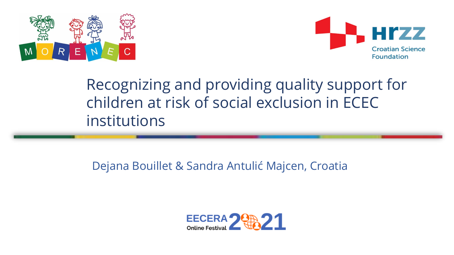



## Recognizing and providing quality support for children at risk of social exclusion in ECEC institutions

### Dejana Bouillet & Sandra Antulić Majcen, Croatia

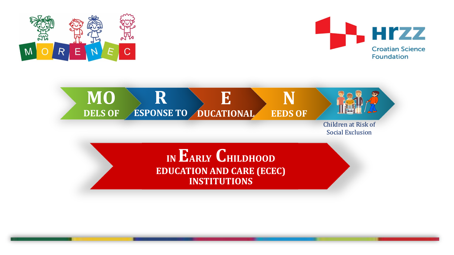



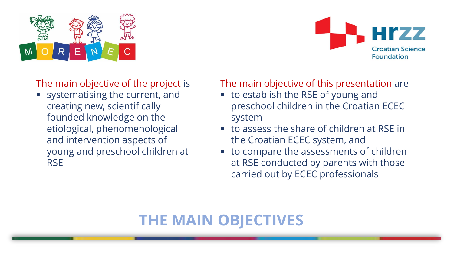



The main objective of the project is

▪ systematising the current, and creating new, scientifically founded knowledge on the etiological, phenomenological and intervention aspects of young and preschool children at RSE

The main objective of this presentation are

- to establish the RSE of young and preschool children in the Croatian ECEC system
- to assess the share of children at RSE in the Croatian ECEC system, and
- to compare the assessments of children at RSE conducted by parents with those carried out by ECEC professionals

### **THE MAIN OBJECTIVES**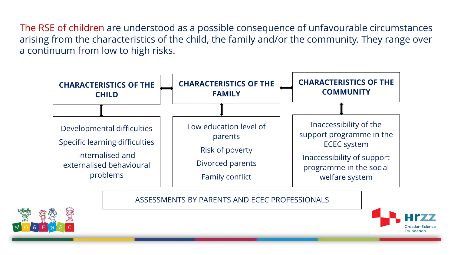The RSE of children are understood as a possible consequence of unfavourable circumstances arising from the characteristics of the child, the family and/or the community. They range over a continuum from low to high risks.



#### ASSESSMENTS BY PARENTS AND ECEC PROFESSIONALS



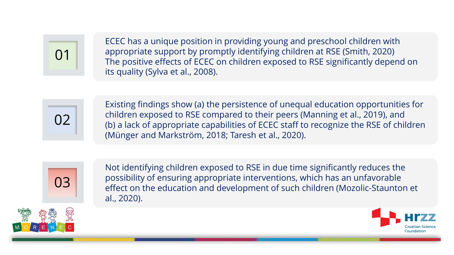

ECEC has a unique position in providing young and preschool children with appropriate support by promptly identifying children at RSE (Smith, 2020) The positive effects of ECEC on children exposed to RSE significantly depend on its quality (Sylva et al., 2008).



Existing findings show (a) the persistence of unequal education opportunities for children exposed to RSE compared to their peers (Manning et al., 2019), and (b) a lack of appropriate capabilities of ECEC staff to recognize the RSE of children (Münger and Markström, 2018; Taresh et al., 2020).



Not identifying children exposed to RSE in due time significantly reduces the possibility of ensuring appropriate interventions, which has an unfavorable effect on the education and development of such children (Mozolic-Staunton et al., 2020).

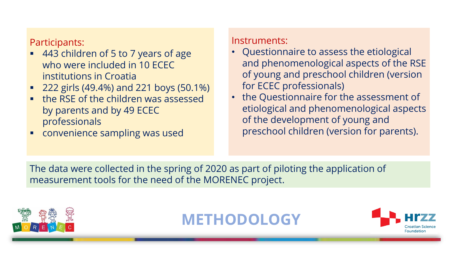Participants:

- 443 children of 5 to 7 years of age who were included in 10 ECEC institutions in Croatia
- 222 girls (49.4%) and 221 boys (50.1%)
- the RSE of the children was assessed by parents and by 49 ECEC professionals
- **E** convenience sampling was used

#### Instruments:

- Questionnaire to assess the etiological and phenomenological aspects of the RSE of young and preschool children (version for ECEC professionals)
- the Questionnaire for the assessment of etiological and phenomenological aspects of the development of young and preschool children (version for parents).

The data were collected in the spring of 2020 as part of piloting the application of measurement tools for the need of the MORENEC project.



**METHODOLOGY**

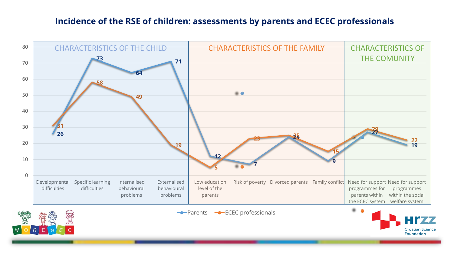#### **Incidence of the RSE of children: assessments by parents and ECEC professionals**

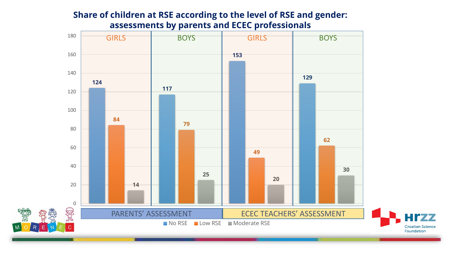#### **Share of children at RSE according to the level of RSE and gender: assessments by parents and ECEC professionals**

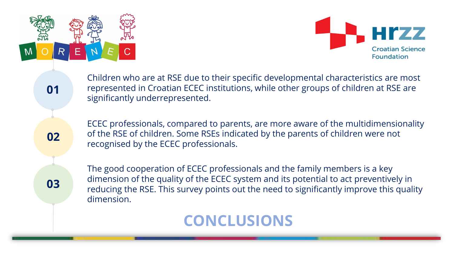



Children who are at RSE due to their specific developmental characteristics are most represented in Croatian ECEC institutions, while other groups of children at RSE are significantly underrepresented.

**02**

**01**

ECEC professionals, compared to parents, are more aware of the multidimensionality of the RSE of children. Some RSEs indicated by the parents of children were not recognised by the ECEC professionals.

**03**

The good cooperation of ECEC professionals and the family members is a key dimension of the quality of the ECEC system and its potential to act preventively in reducing the RSE. This survey points out the need to significantly improve this quality dimension.